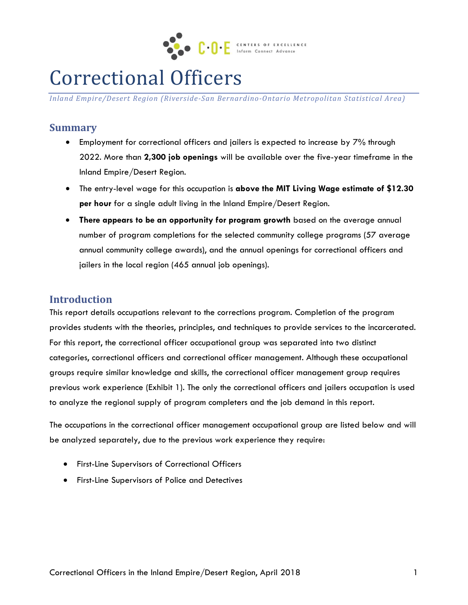

# Correctional Officers

*Inland Empire/Desert Region (Riverside-San Bernardino-Ontario Metropolitan Statistical Area)*

# **Summary**

- Employment for correctional officers and jailers is expected to increase by 7% through 2022. More than **2,300 job openings** will be available over the five-year timeframe in the Inland Empire/Desert Region.
- The entry-level wage for this occupation is **above the MIT Living Wage estimate of \$12.30 per hour** for a single adult living in the Inland Empire/Desert Region.
- **There appears to be an opportunity for program growth** based on the average annual number of program completions for the selected community college programs (57 average annual community college awards), and the annual openings for correctional officers and jailers in the local region (465 annual job openings).

# **Introduction**

This report details occupations relevant to the corrections program. Completion of the program provides students with the theories, principles, and techniques to provide services to the incarcerated. For this report, the correctional officer occupational group was separated into two distinct categories, correctional officers and correctional officer management. Although these occupational groups require similar knowledge and skills, the correctional officer management group requires previous work experience (Exhibit 1). The only the correctional officers and jailers occupation is used to analyze the regional supply of program completers and the job demand in this report.

The occupations in the correctional officer management occupational group are listed below and will be analyzed separately, due to the previous work experience they require:

- First-Line Supervisors of Correctional Officers
- First-Line Supervisors of Police and Detectives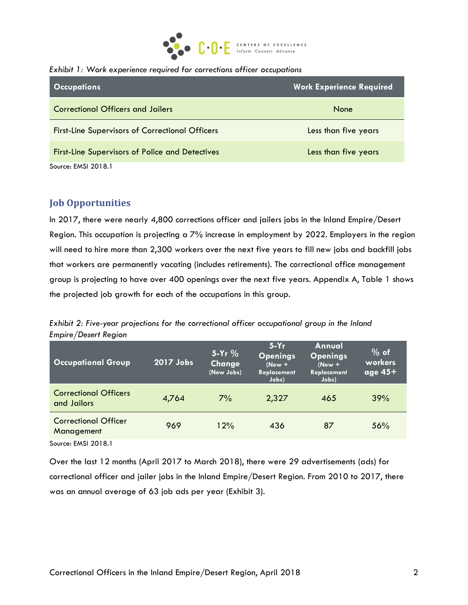

#### *Exhibit 1: Work experience required for corrections officer occupations*

| <b>Occupations</b>                                     | <b>Work Experience Required</b> |
|--------------------------------------------------------|---------------------------------|
| <b>Correctional Officers and Jailers</b>               | None                            |
| <b>First-Line Supervisors of Correctional Officers</b> | Less than five years            |
| <b>First-Line Supervisors of Police and Detectives</b> | Less than five years            |
| Source: EMSI 2018.1                                    |                                 |

## **Job Opportunities**

In 2017, there were nearly 4,800 corrections officer and jailers jobs in the Inland Empire/Desert Region. This occupation is projecting a 7% increase in employment by 2022. Employers in the region will need to hire more than 2,300 workers over the next five years to fill new jobs and backfill jobs that workers are permanently vacating (includes retirements). The correctional office management group is projecting to have over 400 openings over the next five years. Appendix A, Table 1 shows the projected job growth for each of the occupations in this group.

| Occupational Group                          | 2017 Jobs | $5-Yr$ %<br>Change<br>(New Jobs) | $5-Yr$<br><b>Openings</b><br>$New +$<br>Replacement<br>Jobs) | Annual<br><b>Openings</b><br>$(New +$<br>Replacement<br>Jobs) | $%$ of<br>workers<br>age $45+$ |
|---------------------------------------------|-----------|----------------------------------|--------------------------------------------------------------|---------------------------------------------------------------|--------------------------------|
| <b>Correctional Officers</b><br>and Jailors | 4,764     | $7\%$                            | 2,327                                                        | 465                                                           | 39%                            |
| <b>Correctional Officer</b><br>Management   | 969       | 12%                              | 436                                                          | 87                                                            | 56%                            |

*Exhibit 2: Five-year projections for the correctional officer occupational group in the Inland Empire/Desert Region*

Source: EMSI 2018.1

Over the last 12 months (April 2017 to March 2018), there were 29 advertisements (ads) for correctional officer and jailer jobs in the Inland Empire/Desert Region. From 2010 to 2017, there was an annual average of 63 job ads per year (Exhibit 3).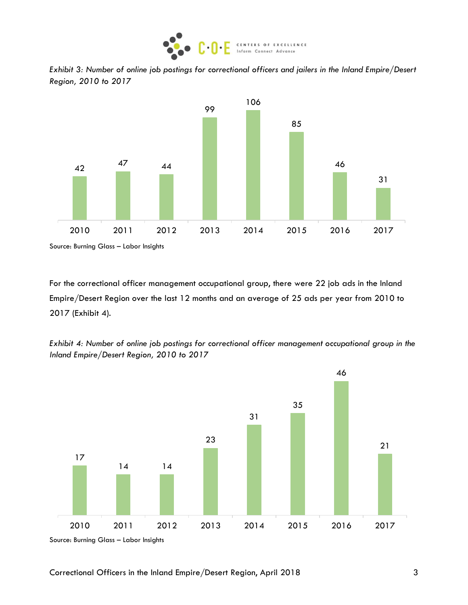





For the correctional officer management occupational group, there were 22 job ads in the Inland Empire/Desert Region over the last 12 months and an average of 25 ads per year from 2010 to 2017 (Exhibit 4).

*Exhibit 4: Number of online job postings for correctional officer management occupational group in the Inland Empire/Desert Region, 2010 to 2017*

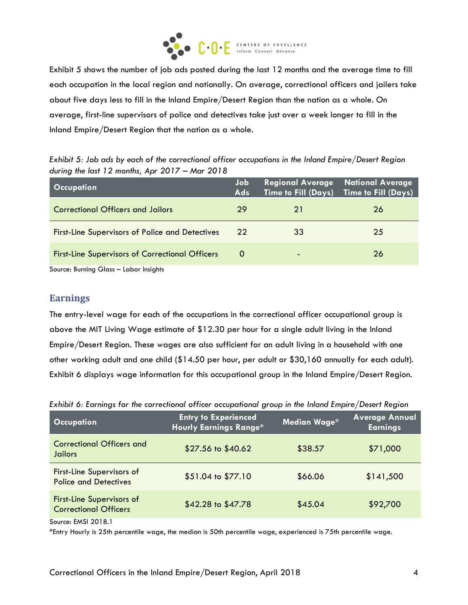

Exhibit 5 shows the number of job ads posted during the last 12 months and the average time to fill each occupation in the local region and nationally. On average, correctional officers and jailers take about five days less to fill in the Inland Empire/Desert Region than the nation as a whole. On average, first-line supervisors of police and detectives take just over a week longer to fill in the Inland Empire/Desert Region that the nation as a whole.

*Exhibit 5: Job ads by each of the correctional officer occupations in the Inland Empire/Desert Region during the last 12 months, Apr 2017 – Mar 2018*

| <b>Occupation</b>                                      | Job<br><b>Ads</b> | <b>Regional Average</b><br><b>Time to Fill (Days)</b> | <b>National Average</b><br><b>Time to Fill (Days)</b> |
|--------------------------------------------------------|-------------------|-------------------------------------------------------|-------------------------------------------------------|
| <b>Correctional Officers and Jailors</b>               | 29                | 21                                                    | 26                                                    |
| <b>First-Line Supervisors of Police and Detectives</b> | 22                | 33                                                    | 25                                                    |
| <b>First-Line Supervisors of Correctional Officers</b> | O                 | -                                                     | 26                                                    |
| Source: Burning Glass - Labor Insights                 |                   |                                                       |                                                       |

#### **Earnings**

The entry-level wage for each of the occupations in the correctional officer occupational group is above the MIT Living Wage estimate of \$12.30 per hour for a single adult living in the Inland Empire/Desert Region. These wages are also sufficient for an adult living in a household with one other working adult and one child (\$14.50 per hour, per adult or \$30,160 annually for each adult). Exhibit 6 displays wage information for this occupational group in the Inland Empire/Desert Region.

|  |  |  | Exhibit 6: Earnings for the correctional officer occupational group in the Inland Empire/Desert Region |  |  |  |  |
|--|--|--|--------------------------------------------------------------------------------------------------------|--|--|--|--|
|  |  |  |                                                                                                        |  |  |  |  |
|  |  |  |                                                                                                        |  |  |  |  |

| <b>Occupation</b>                                                | <b>Entry to Experienced</b><br><b>Hourly Earnings Range*</b> | Median Wage* | <b>Average Annual</b><br><b>Earnings</b> |
|------------------------------------------------------------------|--------------------------------------------------------------|--------------|------------------------------------------|
| <b>Correctional Officers and</b><br>Jailors                      | \$27.56 to \$40.62                                           | \$38.57      | \$71,000                                 |
| <b>First-Line Supervisors of</b><br><b>Police and Detectives</b> | \$51.04 to \$77.10                                           | \$66.06      | \$141,500                                |
| <b>First-Line Supervisors of</b><br><b>Correctional Officers</b> | \$42.28 to \$47.78                                           | \$45.04      | \$92,700                                 |

Source: EMSI 2018.1

\*Entry Hourly is 25th percentile wage, the median is 50th percentile wage, experienced is 75th percentile wage.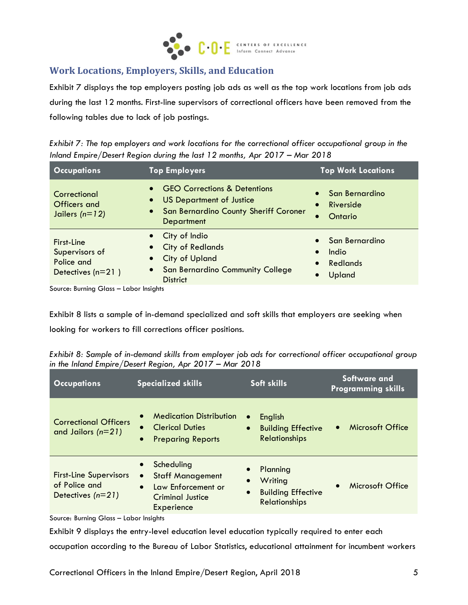

# **Work Locations, Employers, Skills, and Education**

Exhibit 7 displays the top employers posting job ads as well as the top work locations from job ads during the last 12 months. First-line supervisors of correctional officers have been removed from the following tables due to lack of job postings.

*Exhibit 7: The top employers and work locations for the correctional officer occupational group in the Inland Empire/Desert Region during the last 12 months, Apr 2017 – Mar 2018*

| <b>Occupations</b>                                                | <b>Top Employers</b>                                                                                                                                                     | <b>Top Work Locations</b>                                                                         |
|-------------------------------------------------------------------|--------------------------------------------------------------------------------------------------------------------------------------------------------------------------|---------------------------------------------------------------------------------------------------|
| Correctional<br>Officers and<br>Jailers $(n=12)$                  | <b>GEO Corrections &amp; Detentions</b><br>$\bullet$<br><b>US Department of Justice</b><br>$\bullet$<br>San Bernardino County Sheriff Coroner<br>$\bullet$<br>Department | San Bernardino<br>$\bullet$<br>Riverside<br>$\bullet$<br>Ontario                                  |
| First-Line<br>Supervisors of<br>Police and<br>Detectives $(n=21)$ | City of Indio<br><b>City of Redlands</b><br><b>City of Upland</b><br><b>San Bernardino Community College</b><br>$\bullet$<br><b>District</b>                             | San Bernardino<br>$\bullet$<br>Indio<br>$\bullet$<br>Redlands<br>$\bullet$<br>Upland<br>$\bullet$ |

Source: Burning Glass – Labor Insights

Exhibit 8 lists a sample of in-demand specialized and soft skills that employers are seeking when looking for workers to fill corrections officer positions.

| Exhibit 8: Sample of in-demand skills from employer job ads for correctional officer occupational group |  |
|---------------------------------------------------------------------------------------------------------|--|
| in the Inland Empire/Desert Region, Apr 2017 $-$ Mar 2018                                               |  |

| <b>Occupations</b>                                                    | <b>Specialized skills</b>                                                                                                      | Soft skills                                                                                                     | Software and<br><b>Programming skills</b> |  |  |
|-----------------------------------------------------------------------|--------------------------------------------------------------------------------------------------------------------------------|-----------------------------------------------------------------------------------------------------------------|-------------------------------------------|--|--|
| <b>Correctional Officers</b><br>and Jailors $(n=21)$                  | <b>Medication Distribution</b><br><b>Clerical Duties</b><br><b>Preparing Reports</b><br>$\bullet$                              | English<br>$\bullet$<br><b>Building Effective</b><br>$\bullet$<br><b>Relationships</b>                          | Microsoft Office                          |  |  |
| <b>First-Line Supervisors</b><br>of Police and<br>Detectives $(n=21)$ | Scheduling<br><b>Staff Management</b><br>$\bullet$<br>Law Enforcement or<br>$\bullet$<br><b>Criminal Justice</b><br>Experience | Planning<br>$\bullet$<br>Writing<br>$\bullet$<br><b>Building Effective</b><br>$\bullet$<br><b>Relationships</b> | Microsoft Office<br>$\bullet$             |  |  |

Source: Burning Glass – Labor Insights

Exhibit 9 displays the entry-level education level education typically required to enter each

occupation according to the Bureau of Labor Statistics, educational attainment for incumbent workers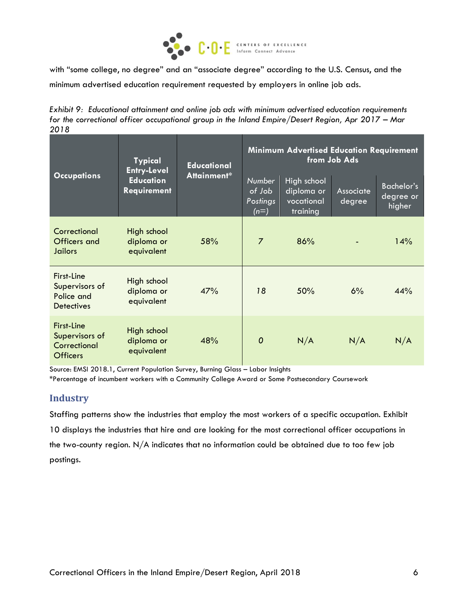

with "some college, no degree" and an "associate degree" according to the U.S. Census, and the minimum advertised education requirement requested by employers in online job ads.

*Exhibit 9: Educational attainment and online job ads with minimum advertised education requirements for the correctional officer occupational group in the Inland Empire/Desert Region, Apr 2017 – Mar 2018*

|                                                                 | <b>Typical</b><br><b>Entry-Level</b>    | <b>Educational</b><br>Attainment* | <b>Minimum Advertised Education Requirement</b><br>from Job Ads |                                                     |                            |                                          |  |  |
|-----------------------------------------------------------------|-----------------------------------------|-----------------------------------|-----------------------------------------------------------------|-----------------------------------------------------|----------------------------|------------------------------------------|--|--|
| <b>Occupations</b>                                              | <b>Education</b><br><b>Requirement</b>  |                                   | <b>Number</b><br>of Job<br>Postings<br>$(n=)$                   | High school<br>diploma or<br>vocational<br>training | <b>Associate</b><br>degree | <b>Bachelor's</b><br>degree or<br>higher |  |  |
| Correctional<br>Officers and<br>Jailors                         | High school<br>diploma or<br>equivalent | 58%                               | $\overline{7}$                                                  | 86%                                                 |                            | 14%                                      |  |  |
| First-Line<br>Supervisors of<br>Police and<br><b>Detectives</b> | High school<br>diploma or<br>equivalent | 47%                               | 18                                                              | 50%                                                 | 6%                         | 44%                                      |  |  |
| First-Line<br>Supervisors of<br>Correctional<br><b>Officers</b> | High school<br>diploma or<br>equivalent | 48%                               | 0                                                               | N/A                                                 | N/A                        | N/A                                      |  |  |

Source: EMSI 2018.1, Current Population Survey, Burning Glass – Labor Insights

\*Percentage of incumbent workers with a Community College Award or Some Postsecondary Coursework

#### **Industry**

Staffing patterns show the industries that employ the most workers of a specific occupation. Exhibit 10 displays the industries that hire and are looking for the most correctional officer occupations in the two-county region. N/A indicates that no information could be obtained due to too few job postings.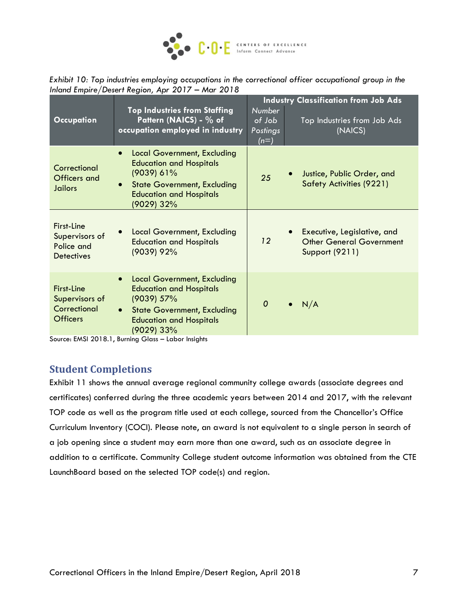

*Exhibit 10: Top industries employing occupations in the correctional officer occupational group in the Inland Empire/Desert Region, Apr 2017 – Mar 2018*

| <b>Occupation</b>                                               | <b>Top Industries from Staffing</b><br>Pattern (NAICS) - % of<br>occupation employed in industry                                                                                        | <b>Number</b><br>of Job<br><b>Postings</b><br>$(n=)$ | <b>Industry Classification from Job Ads</b><br>Top Industries from Job Ads<br>(NAICS) |
|-----------------------------------------------------------------|-----------------------------------------------------------------------------------------------------------------------------------------------------------------------------------------|------------------------------------------------------|---------------------------------------------------------------------------------------|
| Correctional<br>Officers and<br><b>Jailors</b>                  | <b>Local Government, Excluding</b><br><b>Education and Hospitals</b><br>(9039) 61%<br><b>State Government, Excluding</b><br>$\bullet$<br><b>Education and Hospitals</b><br>(9029) 32%   | 25                                                   | Justice, Public Order, and<br>Safety Activities (9221)                                |
| First-Line<br>Supervisors of<br>Police and<br><b>Detectives</b> | Local Government, Excluding<br><b>Education and Hospitals</b><br>(9039) 92%                                                                                                             | 12                                                   | Executive, Legislative, and<br><b>Other General Government</b><br>Support (9211)      |
| First-Line<br>Supervisors of<br>Correctional<br><b>Officers</b> | <b>Local Government, Excluding</b><br><b>Education and Hospitals</b><br>(9039) 57%<br><b>State Government, Excluding</b><br>$\bullet$<br><b>Education and Hospitals</b><br>$(9029)$ 33% | 0                                                    | N/A                                                                                   |

Source: EMSI 2018.1, Burning Glass – Labor Insights

## **Student Completions**

Exhibit 11 shows the annual average regional community college awards (associate degrees and certificates) conferred during the three academic years between 2014 and 2017, with the relevant TOP code as well as the program title used at each college, sourced from the Chancellor's Office Curriculum Inventory (COCI). Please note, an award is not equivalent to a single person in search of a job opening since a student may earn more than one award, such as an associate degree in addition to a certificate. Community College student outcome information was obtained from the CTE LaunchBoard based on the selected TOP code(s) and region.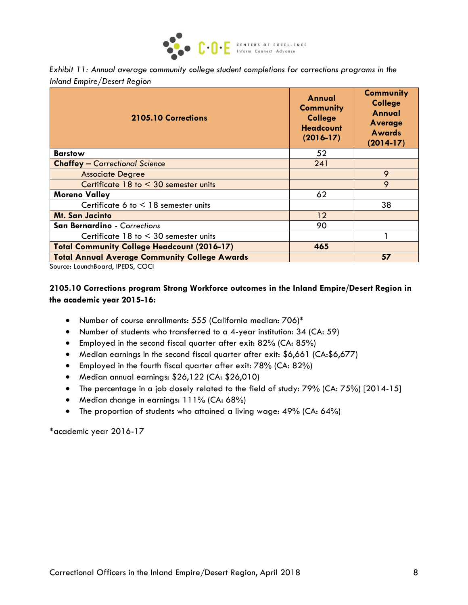

*Exhibit 11: Annual average community college student completions for corrections programs in the Inland Empire/Desert Region*

| 2105.10 Corrections                                  | Annual<br><b>Community</b><br><b>College</b><br><b>Headcount</b><br>$(2016-17)$ | <b>Community</b><br><b>College</b><br><b>Annual</b><br>Average<br><b>Awards</b><br>$(2014-17)$ |  |
|------------------------------------------------------|---------------------------------------------------------------------------------|------------------------------------------------------------------------------------------------|--|
| <b>Barstow</b>                                       | 52                                                                              |                                                                                                |  |
| <b>Chaffey - Correctional Science</b>                | 241                                                                             |                                                                                                |  |
| <b>Associate Degree</b>                              |                                                                                 | 9                                                                                              |  |
| Certificate $18$ to $\leq 30$ semester units         |                                                                                 | 9                                                                                              |  |
| <b>Moreno Valley</b>                                 | 62                                                                              |                                                                                                |  |
| Certificate 6 to $<$ 18 semester units               |                                                                                 | 38                                                                                             |  |
| <b>Mt. San Jacinto</b>                               | 12                                                                              |                                                                                                |  |
| San Bernardino - Corrections                         | 90                                                                              |                                                                                                |  |
| Certificate $18$ to $\leq 30$ semester units         |                                                                                 |                                                                                                |  |
| <b>Total Community College Headcount (2016-17)</b>   | 465                                                                             |                                                                                                |  |
| <b>Total Annual Average Community College Awards</b> |                                                                                 | 57                                                                                             |  |
| 1.1858838881                                         |                                                                                 |                                                                                                |  |

Source: LaunchBoard, IPEDS, COCI

#### **2105.10 Corrections program Strong Workforce outcomes in the Inland Empire/Desert Region in the academic year 2015-16:**

- Number of course enrollments: 555 (California median: 706)\*
- Number of students who transferred to a 4-year institution: 34 (CA: 59)
- Employed in the second fiscal quarter after exit: 82% (CA: 85%)
- Median earnings in the second fiscal quarter after exit: \$6,661 (CA:\$6,677)
- Employed in the fourth fiscal quarter after exit: 78% (CA: 82%)
- Median annual earnings: \$26,122 (CA: \$26,010)
- The percentage in a job closely related to the field of study: 79% (CA: 75%) [2014-15]
- Median change in earnings: 111% (CA: 68%)
- The proportion of students who attained a living wage: 49% (CA: 64%)

\*academic year 2016-17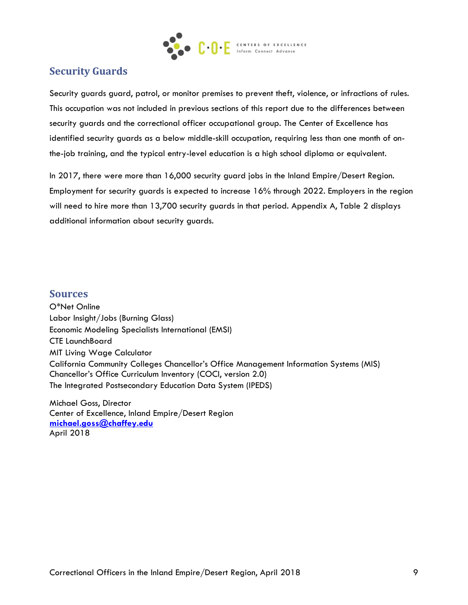

# **Security Guards**

Security guards guard, patrol, or monitor premises to prevent theft, violence, or infractions of rules. This occupation was not included in previous sections of this report due to the differences between security guards and the correctional officer occupational group. The Center of Excellence has identified security guards as a below middle-skill occupation, requiring less than one month of onthe-job training, and the typical entry-level education is a high school diploma or equivalent.

In 2017, there were more than 16,000 security guard jobs in the Inland Empire/Desert Region. Employment for security guards is expected to increase 16% through 2022. Employers in the region will need to hire more than 13,700 security guards in that period. Appendix A, Table 2 displays additional information about security guards.

#### **Sources**

O\*Net Online Labor Insight/Jobs (Burning Glass) Economic Modeling Specialists International (EMSI) CTE LaunchBoard MIT Living Wage Calculator California Community Colleges Chancellor's Office Management Information Systems (MIS) Chancellor's Office Curriculum Inventory (COCI, version 2.0) The Integrated Postsecondary Education Data System (IPEDS)

Michael Goss, Director Center of Excellence, Inland Empire/Desert Region **[michael.goss@chaffey.edu](mailto:michael.goss@chaffey.edu)** April 2018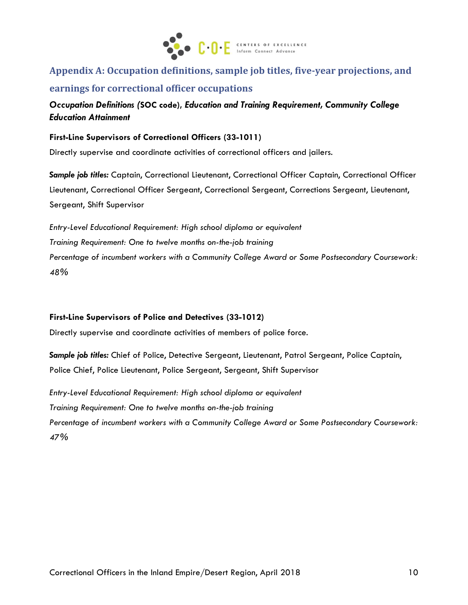

# **Appendix A: Occupation definitions, sample job titles, five-year projections, and earnings for correctional officer occupations**

*Occupation Definitions (***SOC code),** *Education and Training Requirement, Community College Education Attainment*

**First-Line Supervisors of Correctional Officers (33-1011)** 

Directly supervise and coordinate activities of correctional officers and jailers.

*Sample job titles:* Captain, Correctional Lieutenant, Correctional Officer Captain, Correctional Officer Lieutenant, Correctional Officer Sergeant, Correctional Sergeant, Corrections Sergeant, Lieutenant, Sergeant, Shift Supervisor

*Entry-Level Educational Requirement: High school diploma or equivalent Training Requirement: One to twelve months on-the-job training Percentage of incumbent workers with a Community College Award or Some Postsecondary Coursework: 48%*

#### **First-Line Supervisors of Police and Detectives (33-1012)**

Directly supervise and coordinate activities of members of police force.

*Sample job titles:* Chief of Police, Detective Sergeant, Lieutenant, Patrol Sergeant, Police Captain, Police Chief, Police Lieutenant, Police Sergeant, Sergeant, Shift Supervisor

*Entry-Level Educational Requirement: High school diploma or equivalent Training Requirement: One to twelve months on-the-job training Percentage of incumbent workers with a Community College Award or Some Postsecondary Coursework: 47%*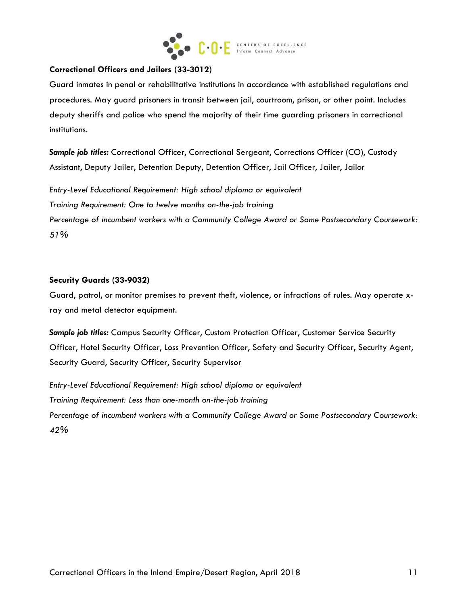

#### **Correctional Officers and Jailers (33-3012)**

Guard inmates in penal or rehabilitative institutions in accordance with established regulations and procedures. May guard prisoners in transit between jail, courtroom, prison, or other point. Includes deputy sheriffs and police who spend the majority of their time guarding prisoners in correctional institutions.

*Sample job titles:* Correctional Officer, Correctional Sergeant, Corrections Officer (CO), Custody Assistant, Deputy Jailer, Detention Deputy, Detention Officer, Jail Officer, Jailer, Jailor

*Entry-Level Educational Requirement: High school diploma or equivalent Training Requirement: One to twelve months on-the-job training Percentage of incumbent workers with a Community College Award or Some Postsecondary Coursework: 51%*

#### **Security Guards (33-9032)**

Guard, patrol, or monitor premises to prevent theft, violence, or infractions of rules. May operate xray and metal detector equipment.

*Sample job titles:* Campus Security Officer, Custom Protection Officer, Customer Service Security Officer, Hotel Security Officer, Loss Prevention Officer, Safety and Security Officer, Security Agent, Security Guard, Security Officer, Security Supervisor

*Entry-Level Educational Requirement: High school diploma or equivalent Training Requirement: Less than one-month on-the-job training Percentage of incumbent workers with a Community College Award or Some Postsecondary Coursework: 42%*